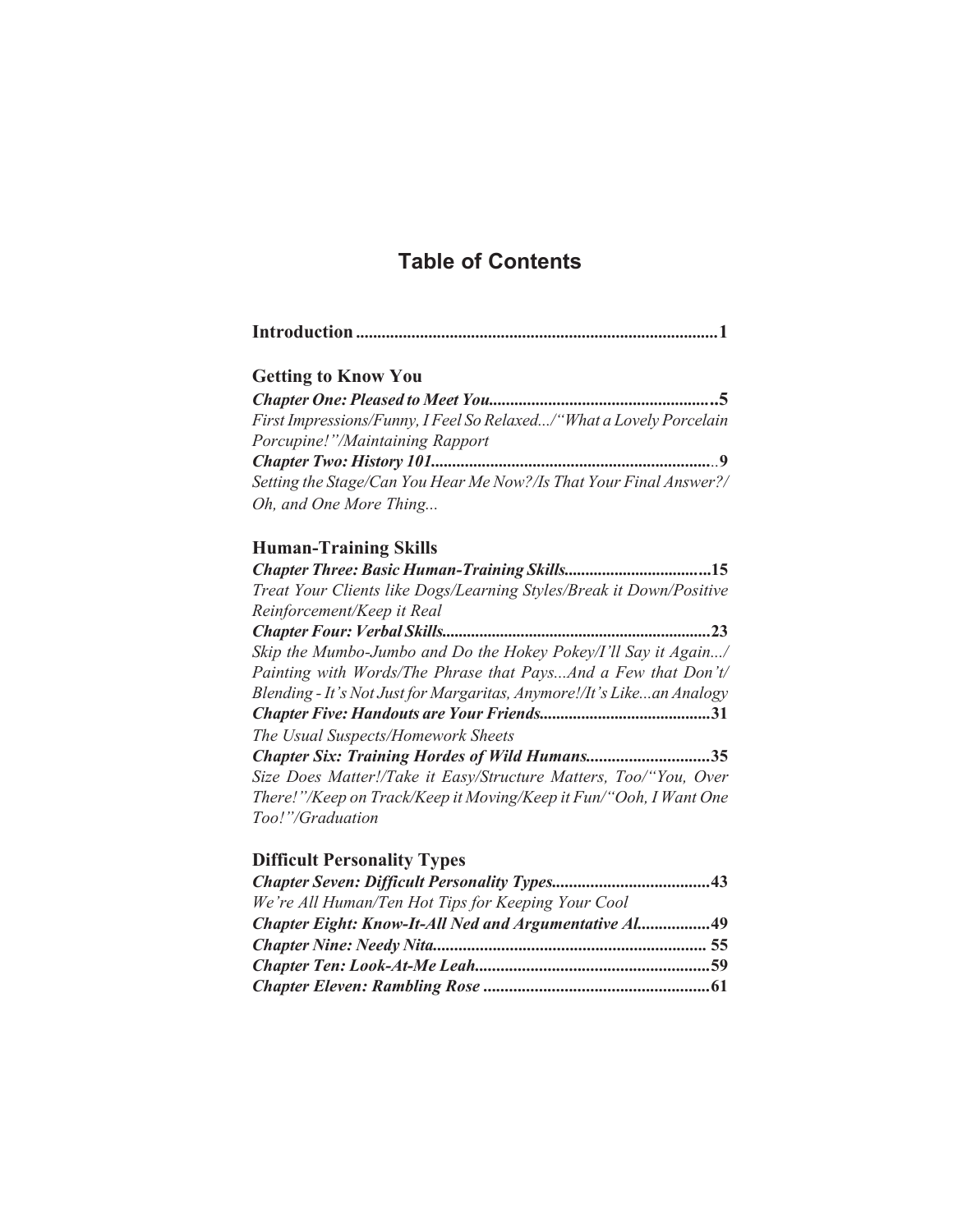# **Table of Contents**

| <b>Getting to Know You</b>                                          |
|---------------------------------------------------------------------|
|                                                                     |
| First Impressions/Funny, I Feel So Relaxed/"What a Lovely Porcelain |
| Porcupine!"/Maintaining Rapport                                     |
|                                                                     |
| Setting the Stage/Can You Hear Me Now?/Is That Your Final Answer?/  |
| Oh, and One More Thing                                              |

## **Human-Training Skills**

| Treat Your Clients like Dogs/Learning Styles/Break it Down/Positive   |
|-----------------------------------------------------------------------|
| Reinforcement/Keep it Real                                            |
| 23                                                                    |
| Skip the Mumbo-Jumbo and Do the Hokey Pokey/I'll Say it Again/        |
| Painting with Words/The Phrase that PaysAnd a Few that Don't/         |
| Blending - It's Not Just for Margaritas, Anymore!/It's Likean Analogy |
|                                                                       |
| The Usual Suspects/Homework Sheets                                    |
| Chapter Six: Training Hordes of Wild Humans35                         |
| Size Does Matter!/Take it Easy/Structure Matters, Too/"You, Over      |
| There!"/Keep on Track/Keep it Moving/Keep it Fun/"Ooh, I Want One     |
| Too!"/Graduation                                                      |

## **Difficult Personality Types**

| We're All Human/Ten Hot Tips for Keeping Your Cool    |  |
|-------------------------------------------------------|--|
| Chapter Eight: Know-It-All Ned and Argumentative Al49 |  |
|                                                       |  |
|                                                       |  |
|                                                       |  |